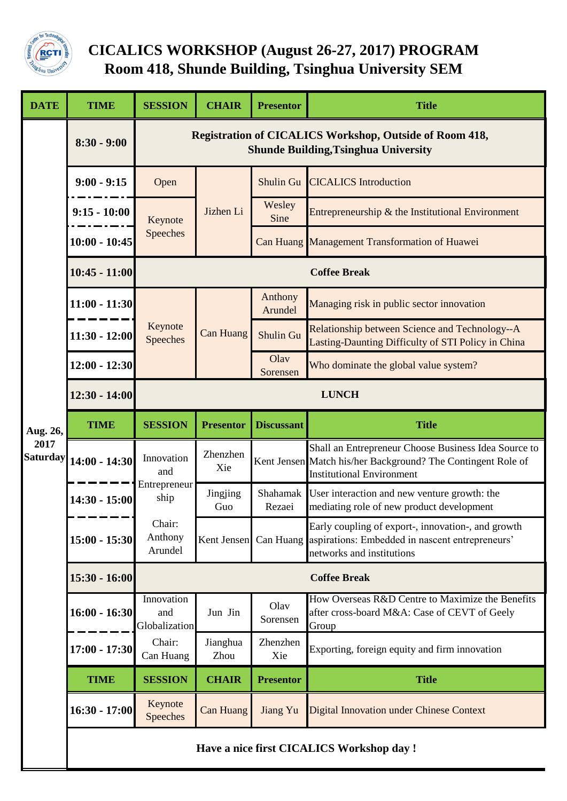

## **CICALICS WORKSHOP (August 26-27, 2017) PROGRAM Room 418, Shunde Building, Tsinghua University SEM**

| <b>DATE</b>                         | <b>TIME</b>                               | <b>SESSION</b>                                                                                                | <b>CHAIR</b>     | <b>Presentor</b>   | <b>Title</b>                                                                                                                                             |  |  |  |
|-------------------------------------|-------------------------------------------|---------------------------------------------------------------------------------------------------------------|------------------|--------------------|----------------------------------------------------------------------------------------------------------------------------------------------------------|--|--|--|
| Aug. 26,<br>2017<br><b>Saturday</b> | $8:30 - 9:00$                             | <b>Registration of CICALICS Workshop, Outside of Room 418,</b><br><b>Shunde Building, Tsinghua University</b> |                  |                    |                                                                                                                                                          |  |  |  |
|                                     | $9:00 - 9:15$                             | Open                                                                                                          |                  | <b>Shulin Gu</b>   | <b>CICALICS</b> Introduction                                                                                                                             |  |  |  |
|                                     | $9:15 - 10:00$                            | Keynote<br>Speeches                                                                                           | Jizhen Li        | Wesley<br>Sine     | Entrepreneurship & the Institutional Environment                                                                                                         |  |  |  |
|                                     | $10:00 - 10:45$                           |                                                                                                               |                  |                    | Can Huang Management Transformation of Huawei                                                                                                            |  |  |  |
|                                     | $10:45 - 11:00$                           | <b>Coffee Break</b>                                                                                           |                  |                    |                                                                                                                                                          |  |  |  |
|                                     | $11:00 - 11:30$                           | Keynote<br>Speeches                                                                                           | <b>Can Huang</b> | Anthony<br>Arundel | Managing risk in public sector innovation                                                                                                                |  |  |  |
|                                     | $11:30 - 12:00$                           |                                                                                                               |                  | <b>Shulin Gu</b>   | Relationship between Science and Technology--A<br>Lasting-Daunting Difficulty of STI Policy in China                                                     |  |  |  |
|                                     | $12:00 - 12:30$                           |                                                                                                               |                  | Olav<br>Sorensen   | Who dominate the global value system?                                                                                                                    |  |  |  |
|                                     | $12:30 - 14:00$                           | <b>LUNCH</b>                                                                                                  |                  |                    |                                                                                                                                                          |  |  |  |
|                                     | <b>TIME</b>                               | <b>SESSION</b>                                                                                                | <b>Presentor</b> | <b>Discussant</b>  | <b>Title</b>                                                                                                                                             |  |  |  |
|                                     | $14:00 - 14:30$                           | Innovation<br>and                                                                                             | Zhenzhen<br>Xie  |                    | Shall an Entrepreneur Choose Business Idea Source to<br>Kent Jensen Match his/her Background? The Contingent Role of<br><b>Institutional Environment</b> |  |  |  |
|                                     | $14:30 - 15:00$                           | Entrepreneur<br>ship                                                                                          | Jingjing<br>Guo  | Shahamak<br>Rezaei | User interaction and new venture growth: the<br>mediating role of new product development                                                                |  |  |  |
|                                     | $15:00 - 15:30$                           | Chair:<br>Anthony<br>Arundel                                                                                  |                  |                    | Early coupling of export-, innovation-, and growth<br>Kent Jensen Can Huang aspirations: Embedded in nascent entrepreneurs'<br>networks and institutions |  |  |  |
|                                     | $15:30 - 16:00$                           | <b>Coffee Break</b>                                                                                           |                  |                    |                                                                                                                                                          |  |  |  |
|                                     | $16:00 - 16:30$                           | Innovation<br>and<br>Globalization                                                                            | Jun Jin          | Olav<br>Sorensen   | How Overseas R&D Centre to Maximize the Benefits<br>after cross-board M&A: Case of CEVT of Geely<br>Group                                                |  |  |  |
|                                     | $17:00 - 17:30$                           | Chair:<br>Can Huang                                                                                           | Jianghua<br>Zhou | Zhenzhen<br>Xie    | Exporting, foreign equity and firm innovation                                                                                                            |  |  |  |
|                                     | <b>TIME</b>                               | <b>SESSION</b>                                                                                                | <b>CHAIR</b>     | <b>Presentor</b>   | <b>Title</b>                                                                                                                                             |  |  |  |
|                                     | $16:30 - 17:00$                           | Keynote<br>Speeches                                                                                           | <b>Can Huang</b> | Jiang Yu           | <b>Digital Innovation under Chinese Context</b>                                                                                                          |  |  |  |
|                                     | Have a nice first CICALICS Workshop day ! |                                                                                                               |                  |                    |                                                                                                                                                          |  |  |  |